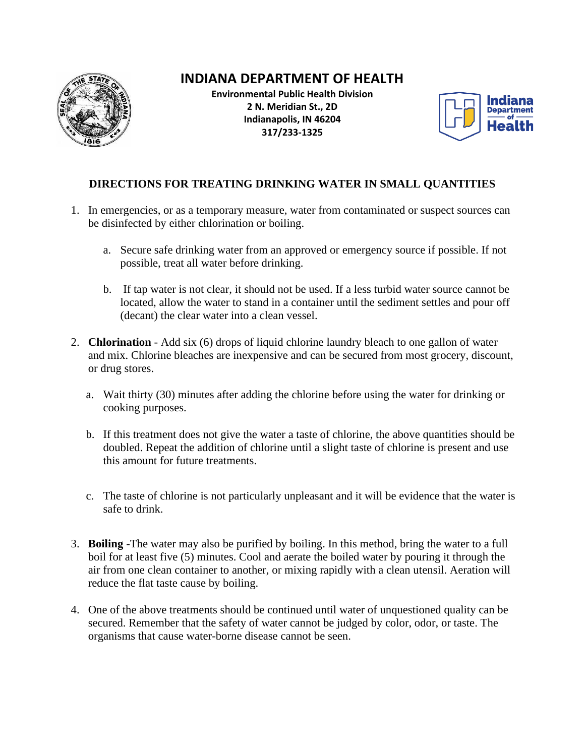

## **INDIANA DEPARTMENT OF HEALTH**

**Environmental Public Health Division 2 N. Meridian St., 2D Indianapolis, IN 46204 317/233-1325**



## **DIRECTIONS FOR TREATING DRINKING WATER IN SMALL QUANTITIES**

- 1. In emergencies, or as a temporary measure, water from contaminated or suspect sources can be disinfected by either chlorination or boiling.
	- a. Secure safe drinking water from an approved or emergency source if possible. If not possible, treat all water before drinking.
	- b. If tap water is not clear, it should not be used. If a less turbid water source cannot be located, allow the water to stand in a container until the sediment settles and pour off (decant) the clear water into a clean vessel.
- 2. **Chlorination** Add six (6) drops of liquid chlorine laundry bleach to one gallon of water and mix. Chlorine bleaches are inexpensive and can be secured from most grocery, discount, or drug stores.
	- a. Wait thirty (30) minutes after adding the chlorine before using the water for drinking or cooking purposes.
	- b. If this treatment does not give the water a taste of chlorine, the above quantities should be doubled. Repeat the addition of chlorine until a slight taste of chlorine is present and use this amount for future treatments.
	- c. The taste of chlorine is not particularly unpleasant and it will be evidence that the water is safe to drink.
- 3. **Boiling** -The water may also be purified by boiling. In this method, bring the water to a full boil for at least five (5) minutes. Cool and aerate the boiled water by pouring it through the air from one clean container to another, or mixing rapidly with a clean utensil. Aeration will reduce the flat taste cause by boiling.
- 4. One of the above treatments should be continued until water of unquestioned quality can be secured. Remember that the safety of water cannot be judged by color, odor, or taste. The organisms that cause water-borne disease cannot be seen.